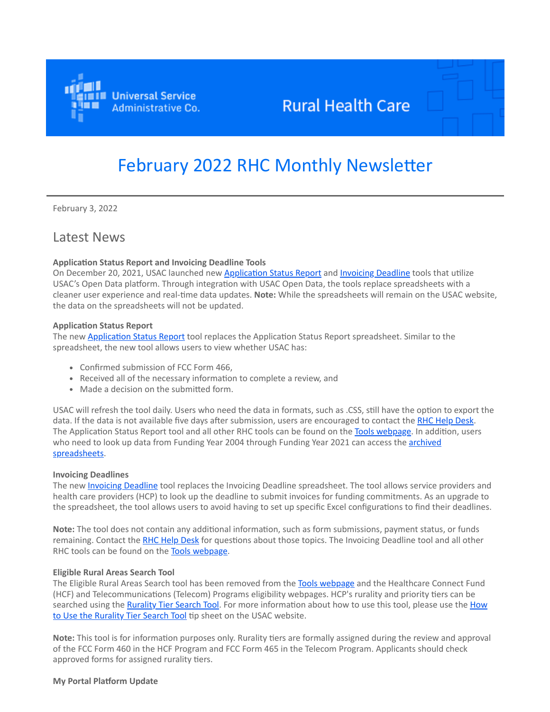

# **Rural Health Care**

# February 2022 RHC Monthly Newsletter

February 3, 2022

# Latest News

#### **Application Status Report and Invoicing Deadline Tools**

On December 20, 2021, USAC launched new [Application Status Report](https://click.outreach.usac.org/?qs=4cff10b62cb005a884d2af7b42cae48c9b910d5d79add4a6193177daf97a3e6bb607c059adaecc6da194272caf5f76efdc583cc04b22b15d) and [Invoicing Deadline](https://click.outreach.usac.org/?qs=4cff10b62cb005a84a4ff8932138304e9e487f921e973d3502c7222aec8983b7e64071163f81cb305085499ab2754df69e02a52f7edfd03f) tools that utilize USAC's Open Data platform. Through integration with USAC Open Data, the tools replace spreadsheets with a cleaner user experience and real-time data updates. **Note:** While the spreadsheets will remain on the USAC website, the data on the spreadsheets will not be updated.

#### **Application Status Report**

The new [Application Status Report](https://click.outreach.usac.org/?qs=4cff10b62cb005a884d2af7b42cae48c9b910d5d79add4a6193177daf97a3e6bb607c059adaecc6da194272caf5f76efdc583cc04b22b15d) tool replaces the Application Status Report spreadsheet. Similar to the spreadsheet, the new tool allows users to view whether USAC has:

- Confirmed submission of FCC Form 466,
- Received all of the necessary information to complete a review, and
- Made a decision on the submitted form.

USAC will refresh the tool daily. Users who need the data in formats, such as .CSS, still have the option to export the data. If the data is not available five days after submission, users are encouraged to contact the [RHC Help Desk.](mailto:RHC-Assist@usac.org?subject=) The Application Status Report tool and all other RHC tools can be found on the [Tools webpage.](https://click.outreach.usac.org/?qs=4cff10b62cb005a87a37787a01d2a2117f95933aa49c4fac3615585eea456c8dfcf0a9cd164c42c8d74fce7d03c629d11e88f8c9e81fa164) In addition, users who need to look up data from Funding Year 2004 through Funding Year 2021 can access the **archived** spreadsheets.

#### **Invoicing Deadlines**

The new *Invoicing Deadline* tool replaces the [Invoicing Deadline](https://click.outreach.usac.org/?qs=4cff10b62cb005a84a4ff8932138304e9e487f921e973d3502c7222aec8983b7e64071163f81cb305085499ab2754df69e02a52f7edfd03f) spreadsheet. The tool allows service providers and health care providers (HCP) to look up the deadline to submit invoices for funding commitments. As an upgrade to the spreadsheet, the tool allows users to avoid having to set up specific Excel configurations to find their deadlines.

**Note:** The tool does not contain any additional information, such as form submissions, payment status, or funds remaining. Contact the [RHC Help Desk](mailto:RHC-Assist@usac.org?subject=) for questions about those topics. The Invoicing Deadline tool and all other RHC tools can be found on the [Tools webpage](https://click.outreach.usac.org/?qs=4cff10b62cb005a87a37787a01d2a2117f95933aa49c4fac3615585eea456c8dfcf0a9cd164c42c8d74fce7d03c629d11e88f8c9e81fa164).

#### **Eligible Rural Areas Search Tool**

The Eligible Rural Areas Search tool has been removed from the [Tools webpage](https://click.outreach.usac.org/?qs=4cff10b62cb005a837f02bfb88c94b68c521140e849a3978d26aead7d7a267330ed09d9eb505ba44034c6d0474714e454ca1567eab151e22) and the Healthcare Connect Fund (HCF) and Telecommunications (Telecom) Programs eligibility webpages. HCP's rurality and priority tiers can be [searched using the](https://click.outreach.usac.org/?qs=4cff10b62cb005a8aba139d2c8050d9cf8e3f7e479e426db852a5f76633ea46b35e9d5b3c1856a99dc942aa79613bb3beb0e725b24d56974) [Rurality Tier Search Tool](https://click.outreach.usac.org/?qs=4cff10b62cb005a8407998d8d989fb990842b814ad4a48c67da833430d5926af7d6b172688a65641571029cac116e5198bb02675d5d5bbcc)[. For more information about how to use this tool, please use the How](https://click.outreach.usac.org/?qs=4cff10b62cb005a8aba139d2c8050d9cf8e3f7e479e426db852a5f76633ea46b35e9d5b3c1856a99dc942aa79613bb3beb0e725b24d56974) to Use the Rurality Tier Search Tool tip sheet on the USAC website.

**Note:** This tool is for information purposes only. Rurality tiers are formally assigned during the review and approval of the FCC Form 460 in the HCF Program and FCC Form 465 in the Telecom Program. Applicants should check approved forms for assigned rurality tiers.

#### **My Portal Platform Update**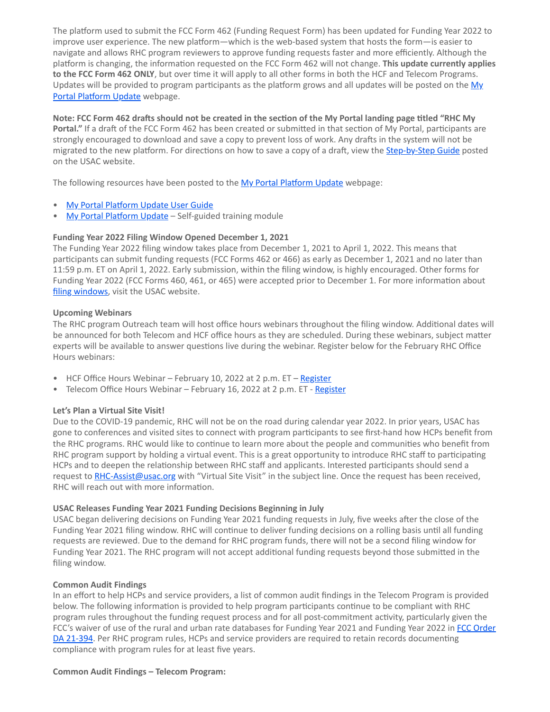The platform used to submit the FCC Form 462 (Funding Request Form) has been updated for Funding Year 2022 to improve user experience. The new platform—which is the web-based system that hosts the form—is easier to navigate and allows RHC program reviewers to approve funding requests faster and more efficiently. Although the platform is changing, the information requested on the FCC Form 462 will not change. **This update currently applies to the FCC Form 462 ONLY**, but over time it will apply to all other forms in both the HCF and Telecom Programs. [Updates will be provided to program participants as the platform grows and all updates will be posted on the My](https://click.outreach.usac.org/?qs=4cff10b62cb005a83a41aa2231993e830f97bc9a7ab4a0686e11d9f301096c3259a47c5250f26f0f3787c172234fa47bb95c39d247859fe0) Portal Platform Update webpage.

**Note: FCC Form 462 drafts should not be created in the section of the My Portal landing page titled "RHC My Portal."** If a draft of the FCC Form 462 has been created or submitted in that section of My Portal, participants are strongly encouraged to download and save a copy to prevent loss of work. Any drafts in the system will not be migrated to the new platform. For directions on how to save a copy of a draft, view the **[Step-by-Step Guide](https://click.outreach.usac.org/?qs=4cff10b62cb005a8756153a6f0df21bb8c47b982d34e3ef1e3f853cc4bb56fc071ce87d753a5f47934d1d2cba48cf4fd227a01f029a8ed25)** posted on the USAC website.

The following resources have been posted to the [My Portal Platform Update](https://click.outreach.usac.org/?qs=4cff10b62cb005a83a41aa2231993e830f97bc9a7ab4a0686e11d9f301096c3259a47c5250f26f0f3787c172234fa47bb95c39d247859fe0) webpage:

- [My Portal Platform Update User Guide](https://click.outreach.usac.org/?qs=4cff10b62cb005a80ec4049ab60b84d235b6953591881e93c3d9aa32420f762882adc845811299ca1a1a9b6a61bc5f9d8fa4510b3a0cf769)
- [My Portal Platform Update](https://click.outreach.usac.org/?qs=4cff10b62cb005a8e4bc513c29f079680d1f97466c2a9853a60bf6442468260f1892c095865e7a1e2f46f42e09960c2d151b2808c759431e)  Self-guided training module

#### **Funding Year 2022 Filing Window Opened December 1, 2021**

The Funding Year 2022 filing window takes place from December 1, 2021 to April 1, 2022. This means that participants can submit funding requests (FCC Forms 462 or 466) as early as December 1, 2021 and no later than 11:59 p.m. ET on April 1, 2022. Early submission, within the filing window, is highly encouraged. Other forms for Funding Year 2022 (FCC Forms 460, 461, or 465) were accepted prior to December 1. For more information about [filing windows](https://click.outreach.usac.org/?qs=4cff10b62cb005a8defdbe276d5d76304d401daba1dcaba203e1d704a287173ac9c79a0f47b1e8550861a39e0fa3604cfaa0ebf86ef185ce), visit the USAC website.

#### **Upcoming Webinars**

The RHC program Outreach team will host office hours webinars throughout the filing window. Additional dates will be announced for both Telecom and HCF office hours as they are scheduled. During these webinars, subject matter experts will be available to answer questions live during the webinar. Register below for the February RHC Office Hours webinars:

- HCF Office Hours Webinar February 10, 2022 at 2 p.m. ET – [Register](https://click.outreach.usac.org/?qs=4cff10b62cb005a8b953fca89713e0e53f9a1c98bac5c242cdd003372b44ff951efb33fe9ed227476a3864077b59e0c3a2d4a2c8d83b9be9)
- Telecom Office Hours Webinar February 16, 2022 at 2 p.m. ET [Register](https://click.outreach.usac.org/?qs=4cff10b62cb005a8e463dbe19db664bc9f21380cd40fbab9e96bfc61fc2d0963928a801fbe014af688266bfd216f168a15a69b1465571b81)

#### **Let's Plan a Virtual Site Visit!**

Due to the COVID-19 pandemic, RHC will not be on the road during calendar year 2022. In prior years, USAC has gone to conferences and visited sites to connect with program participants to see first-hand how HCPs benefit from the RHC programs. RHC would like to continue to learn more about the people and communities who benefit from RHC program support by holding a virtual event. This is a great opportunity to introduce RHC staff to participating HCPs and to deepen the relationship between RHC staff and applicants. Interested participants should send a request to [RHC-Assist@usac.org](mailto:RHC-Assist@usac.org%20?subject=Virtual%20Site%20Visit) with "Virtual Site Visit" in the subject line. Once the request has been received, RHC will reach out with more information.

#### **USAC Releases Funding Year 2021 Funding Decisions Beginning in July**

USAC began delivering decisions on Funding Year 2021 funding requests in July, five weeks after the close of the Funding Year 2021 filing window. RHC will continue to deliver funding decisions on a rolling basis until all funding requests are reviewed. Due to the demand for RHC program funds, there will not be a second filing window for Funding Year 2021. The RHC program will not accept additional funding requests beyond those submitted in the filing window.

#### **Common Audit Findings**

In an effort to help HCPs and service providers, a list of common audit findings in the Telecom Program is provided below. The following information is provided to help program participants continue to be compliant with RHC program rules throughout the funding request process and for all post-commitment activity, particularly given the [FCC's waiver of use of the rural and urban rate databases for Funding Year 2021 and Funding Year 2022 in FCC Order](https://click.outreach.usac.org/?qs=4cff10b62cb005a8215262a6db25078f845cd8b4154b1c6ac11a262e290fed683d53948cb20979e773d86c47b34f6d12f7161f21e7cd8348) DA 21-394. Per RHC program rules, HCPs and service providers are required to retain records documenting compliance with program rules for at least five years.

#### **Common Audit Findings – Telecom Program:**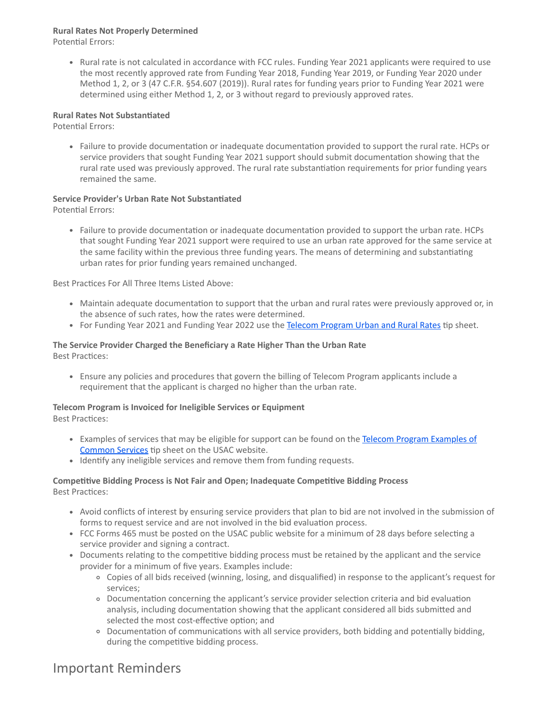# **Rural Rates Not Properly Determined**

Potential Errors:

Rural rate is not calculated in accordance with FCC rules. Funding Year 2021 applicants were required to use the most recently approved rate from Funding Year 2018, Funding Year 2019, or Funding Year 2020 under Method 1, 2, or 3 (47 C.F.R. §54.607 (2019)). Rural rates for funding years prior to Funding Year 2021 were determined using either Method 1, 2, or 3 without regard to previously approved rates.

## **Rural Rates Not Substantiated**

Potential Errors:

Failure to provide documentation or inadequate documentation provided to support the rural rate. HCPs or service providers that sought Funding Year 2021 support should submit documentation showing that the rural rate used was previously approved. The rural rate substantiation requirements for prior funding years remained the same.

# **Service Provider's Urban Rate Not Substantiated**

Potential Errors:

Failure to provide documentation or inadequate documentation provided to support the urban rate. HCPs that sought Funding Year 2021 support were required to use an urban rate approved for the same service at the same facility within the previous three funding years. The means of determining and substantiating urban rates for prior funding years remained unchanged.

Best Practices For All Three Items Listed Above:

- Maintain adequate documentation to support that the urban and rural rates were previously approved or, in the absence of such rates, how the rates were determined.
- For Funding Year 2021 and Funding Year 2022 use the [Telecom Program Urban and Rural Rates](https://click.outreach.usac.org/?qs=4cff10b62cb005a800e6f3cfc2570d0ae0ea8988426e9c1274aba0d9d9d05ae38184959224f4d3dc838d4a03fe1bebb71652247c9533e810) tip sheet.

#### **The Service Provider Charged the Beneficiary a Rate Higher Than the Urban Rate** Best Practices:

Ensure any policies and procedures that govern the billing of Telecom Program applicants include a requirement that the applicant is charged no higher than the urban rate.

# **Telecom Program is Invoiced for Ineligible Services or Equipment**

Best Practices:

- [Examples of services that may be eligible for support can be found on the Telecom Program Examples of](https://click.outreach.usac.org/?qs=4cff10b62cb005a84468eba72224c48ac59b9356f85043c64fc29d2153e58b2e908325e6be96bcea3e357e52cbe05ff9c6d95ff360484cf1) Common Services tip sheet on the USAC website.
- Identify any ineligible services and remove them from funding requests.

## **Competitive Bidding Process is Not Fair and Open; Inadequate Competitive Bidding Process** Best Practices:

- Avoid conflicts of interest by ensuring service providers that plan to bid are not involved in the submission of forms to request service and are not involved in the bid evaluation process.
- FCC Forms 465 must be posted on the USAC public website for a minimum of 28 days before selecting a service provider and signing a contract.
- Documents relating to the competitive bidding process must be retained by the applicant and the service provider for a minimum of five years. Examples include:
	- Copies of all bids received (winning, losing, and disqualified) in response to the applicant's request for services;
	- Documentation concerning the applicant's service provider selection criteria and bid evaluation analysis, including documentation showing that the applicant considered all bids submitted and selected the most cost-effective option; and
	- Documentation of communications with all service providers, both bidding and potentially bidding, during the competitive bidding process.

# Important Reminders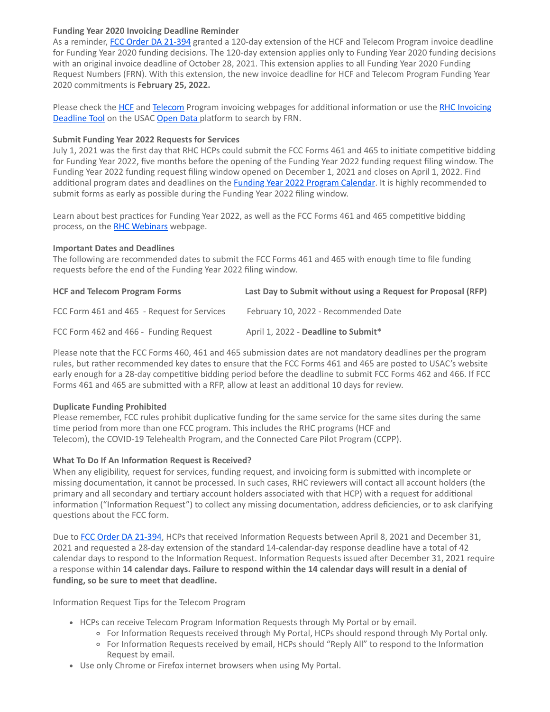## **Funding Year 2020 Invoicing Deadline Reminder**

As a reminder, [FCC Order DA 21-394](https://click.outreach.usac.org/?qs=4cff10b62cb005a8215262a6db25078f845cd8b4154b1c6ac11a262e290fed683d53948cb20979e773d86c47b34f6d12f7161f21e7cd8348) granted a 120-day extension of the HCF and Telecom Program invoice deadline for Funding Year 2020 funding decisions. The 120-day extension applies only to Funding Year 2020 funding decisions with an original invoice deadline of October 28, 2021. This extension applies to all Funding Year 2020 Funding Request Numbers (FRN). With this extension, the new invoice deadline for HCF and Telecom Program Funding Year 2020 commitments is **February 25, 2022.**

[Please check the](https://click.outreach.usac.org/?qs=4cff10b62cb005a85e131f90306e93654df4afeb3d5dad0d7449a50ac61329c43d339ba02b677864faa957508afe4509fa84988222875b1f) [HC](https://click.outreach.usac.org/?qs=4cff10b62cb005a8ef27228745a0a52bcc8220d5c41f2d0411c6c387d9fa82bf8f1cca90f8176ce312d44d485c61f69211059ad4e2fdb4f8)[F and T](https://click.outreach.usac.org/?qs=4cff10b62cb005a85e131f90306e93654df4afeb3d5dad0d7449a50ac61329c43d339ba02b677864faa957508afe4509fa84988222875b1f)[eleco](https://click.outreach.usac.org/?qs=4cff10b62cb005a8503923f2b231fad343767b9c678417baa45eabc74b633b4b4e9dbdaf040b7f7651b80422671a1bbc8a3e020903ab966d)[m Program invoicing webpages for additional information or use the RHC Invoicing](https://click.outreach.usac.org/?qs=4cff10b62cb005a85e131f90306e93654df4afeb3d5dad0d7449a50ac61329c43d339ba02b677864faa957508afe4509fa84988222875b1f) Deadline Tool on the USAC [Open Data](https://click.outreach.usac.org/?qs=4cff10b62cb005a8f5b0b42a52386d0a8b61571ad3aafa30e60df0af6f15d081ee509f4d56d1e7905a9d4ba901f97b4a53308f372775f7e4) platform to search by FRN.

#### **Submit Funding Year 2022 Requests for Services**

July 1, 2021 was the first day that RHC HCPs could submit the FCC Forms 461 and 465 to initiate competitive bidding for Funding Year 2022, five months before the opening of the Funding Year 2022 funding request filing window. The Funding Year 2022 funding request filing window opened on December 1, 2021 and closes on April 1, 2022. Find additional program dates and deadlines on the **Funding Year 2022 Program Calendar**. It is highly recommended to submit forms as early as possible during the Funding Year 2022 filing window.

Learn about best practices for Funding Year 2022, as well as the FCC Forms 461 and 465 competitive bidding process, on the [RHC Webinars](https://click.outreach.usac.org/?qs=4cff10b62cb005a8c228e8b1a515c484501d70ce2d94a67faf2de71297a2df27e566d619aa6035a58ed0ec7b58e29b446da2434d1522474c) webpage.

## **Important Dates and Deadlines**

The following are recommended dates to submit the FCC Forms 461 and 465 with enough time to file funding requests before the end of the Funding Year 2022 filing window.

| <b>HCF and Telecom Program Forms</b>        | Last Day to Submit without using a Request for Proposal (RFP) |
|---------------------------------------------|---------------------------------------------------------------|
| FCC Form 461 and 465 - Request for Services | February 10, 2022 - Recommended Date                          |
| FCC Form 462 and 466 - Funding Request      | April 1, 2022 - Deadline to Submit*                           |

Please note that the FCC Forms 460, 461 and 465 submission dates are not mandatory deadlines per the program rules, but rather recommended key dates to ensure that the FCC Forms 461 and 465 are posted to USAC's website early enough for a 28-day competitive bidding period before the deadline to submit FCC Forms 462 and 466. If FCC Forms 461 and 465 are submitted with a RFP, allow at least an additional 10 days for review.

#### **Duplicate Funding Prohibited**

Please remember, FCC rules prohibit duplicative funding for the same service for the same sites during the same time period from more than one FCC program. This includes the RHC programs (HCF and Telecom), the COVID-19 Telehealth Program, and the Connected Care Pilot Program (CCPP).

#### **What To Do If An Information Request is Received?**

When any eligibility, request for services, funding request, and invoicing form is submitted with incomplete or missing documentation, it cannot be processed. In such cases, RHC reviewers will contact all account holders (the primary and all secondary and tertiary account holders associated with that HCP) with a request for additional information ("Information Request") to collect any missing documentation, address deficiencies, or to ask clarifying questions about the FCC form.

Due to [FCC Order DA 21-394](https://click.outreach.usac.org/?qs=4cff10b62cb005a8215262a6db25078f845cd8b4154b1c6ac11a262e290fed683d53948cb20979e773d86c47b34f6d12f7161f21e7cd8348), HCPs that received Information Requests between April 8, 2021 and December 31, 2021 and requested a 28-day extension of the standard 14-calendar-day response deadline have a total of 42 calendar days to respond to the Information Request. Information Requests issued after December 31, 2021 require a response within **14 calendar days. Failure to respond within the 14 calendar days will result in a denial of funding, so be sure to meet that deadline.**

Information Request Tips for the Telecom Program

- HCPs can receive Telecom Program Information Requests through My Portal or by email.
	- For Information Requests received through My Portal, HCPs should respond through My Portal only.
	- For Information Requests received by email, HCPs should "Reply All" to respond to the Information Request by email.
- Use only Chrome or Firefox internet browsers when using My Portal.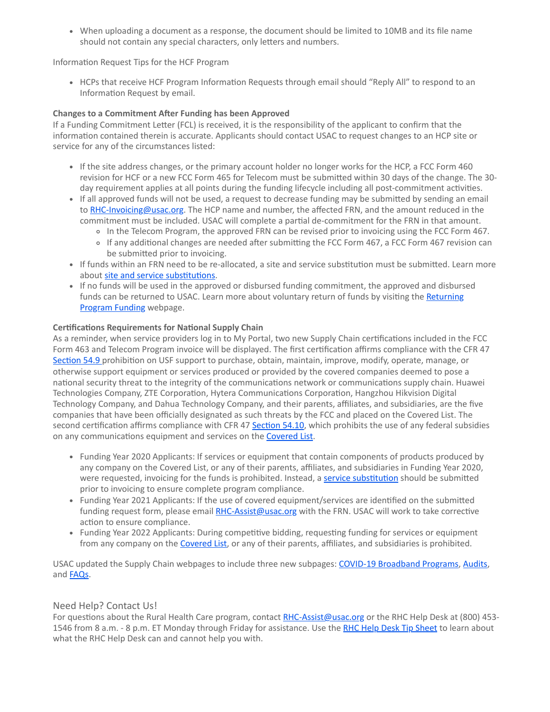When uploading a document as a response, the document should be limited to 10MB and its file name should not contain any special characters, only letters and numbers.

Information Request Tips for the HCF Program

• HCPs that receive HCF Program Information Requests through email should "Reply All" to respond to an Information Request by email.

# **Changes to a Commitment After Funding has been Approved**

If a Funding Commitment Letter (FCL) is received, it is the responsibility of the applicant to confirm that the information contained therein is accurate. Applicants should contact USAC to request changes to an HCP site or service for any of the circumstances listed:

- If the site address changes, or the primary account holder no longer works for the HCP, a FCC Form 460 revision for HCF or a new FCC Form 465 for Telecom must be submitted within 30 days of the change. The 30 day requirement applies at all points during the funding lifecycle including all post-commitment activities.
- If all approved funds will not be used, a request to decrease funding may be submitted by sending an email to [RHC-Invoicing@usac.org](mailto:RHC-Invoicing@usac.org?subject=). The HCP name and number, the affected FRN, and the amount reduced in the commitment must be included. USAC will complete a partial de-commitment for the FRN in that amount.
	- o In the Telecom Program, the approved FRN can be revised prior to invoicing using the FCC Form 467.
	- If any additional changes are needed after submitting the FCC Form 467, a FCC Form 467 revision can be submitted prior to invoicing.
- If funds within an FRN need to be re-allocated, a site and service substitution must be submitted. Learn more about [site and service substitutions.](https://click.outreach.usac.org/?qs=4cff10b62cb005a80fb77dae2ff6060f2fbb53cbf3ef4de4b3f56ded015bb9dc498a64c0cf8c4ce1b28154a668dc7e75a0d72eab59c27a2a)
- If no funds will be used in the approved or disbursed funding commitment, the approved and disbursed [funds can be returned to USAC. Learn more about voluntary return of funds by visiting the Returning](https://click.outreach.usac.org/?qs=4cff10b62cb005a8c8994acddaf745d069ed3022e032034a30f68729827545cc0fdaa00e729ef1b35aca8875598170ff9c2e74d73846116c) Program Funding webpage.

## **Certifications Requirements for National Supply Chain**

As a reminder, when service providers log in to My Portal, two new Supply Chain certifications included in the FCC Form 463 and Telecom Program invoice will be displayed. The first certification affirms compliance with the CFR 47 [Section 54.9](https://click.outreach.usac.org/?qs=4cff10b62cb005a8c1673ea1ec8435c005f2b2dac1ac05313b717b187fb4007188b7d21dab5d80229316ff4250391ac8dee19b4c4a190467) prohibition on USF support to purchase, obtain, maintain, improve, modify, operate, manage, or otherwise support equipment or services produced or provided by the covered companies deemed to pose a national security threat to the integrity of the communications network or communications supply chain. Huawei Technologies Company, ZTE Corporation, Hytera Communications Corporation, Hangzhou Hikvision Digital Technology Company, and Dahua Technology Company, and their parents, affiliates, and subsidiaries, are the five companies that have been officially designated as such threats by the FCC and placed on the Covered List. The second certification affirms compliance with CFR 47 [Section 54.10,](https://click.outreach.usac.org/?qs=4cff10b62cb005a85b03b61191e5cb92a21d8f13610b1cd89459ed8243e4b92a880d7ffef400203de0dc1602347f49d0770f932d605e8454) which prohibits the use of any federal subsidies on any communications equipment and services on the [Covered List](https://click.outreach.usac.org/?qs=4cff10b62cb005a88b956bc207cd1ccf0a10c2de1b7144166fd55c8d0dd5508c5599f0d346bace7004d8322ebe516f65ee828c15e9e2a092).

- Funding Year 2020 Applicants: If services or equipment that contain components of products produced by any company on the Covered List, or any of their parents, affiliates, and subsidiaries in Funding Year 2020, were requested, invoicing for the funds is prohibited. Instead, a [service substitution](https://click.outreach.usac.org/?qs=4cff10b62cb005a815d43aee0c1e16e36374720b06a38e204f7fbbb563046bf6c0d753f0efc0264276e425a5c1a044bb57244182e98d95b8) should be submitted prior to invoicing to ensure complete program compliance.
- Funding Year 2021 Applicants: If the use of covered equipment/services are identified on the submitted funding request form, please email [RHC-Assist@usac.org](mailto:RHC-Assist@usac.org?subject=) with the FRN. USAC will work to take corrective action to ensure compliance.
- Funding Year 2022 Applicants: During competitive bidding, requesting funding for services or equipment from any company on the [Covered List](https://click.outreach.usac.org/?qs=4cff10b62cb005a88b956bc207cd1ccf0a10c2de1b7144166fd55c8d0dd5508c5599f0d346bace7004d8322ebe516f65ee828c15e9e2a092), or any of their parents, affiliates, and subsidiaries is prohibited.

USAC updated the Supply Chain webpages to include three new subpages: [COVID-19 Broadband Programs](https://click.outreach.usac.org/?qs=4cff10b62cb005a8698911e67a81bd56ae70793e1ea79d101aafed3ea4a6c24c7d67ed42b50357d9f855029785ae7c9734735d4e707f4d5f), [Audits,](https://click.outreach.usac.org/?qs=4cff10b62cb005a866b96a6c44bfeae0ca7b13edd408e261de9e67216c38b909e54dbfb8e691a1fdc953413359b00ea3886846739b0ec711) and **FAQs**.

# Need Help? Contact Us!

For questions about the Rural Health Care program, contact [RHC-Assist@usac.org](mailto:RHC-Assist@usac.org?subject=) or the RHC Help Desk at (800) 453-1546 from 8 a.m. - 8 p.m. ET Monday through Friday for assistance. Use the [RHC Help Desk Tip Sheet](https://click.outreach.usac.org/?qs=4cff10b62cb005a873701b3013c3ae4ef0a3bbf7119b9e3511fd4e055089718b2784ce02624046741cb9106ff8e436642e7238a69da08a79) to learn about what the RHC Help Desk can and cannot help you with.